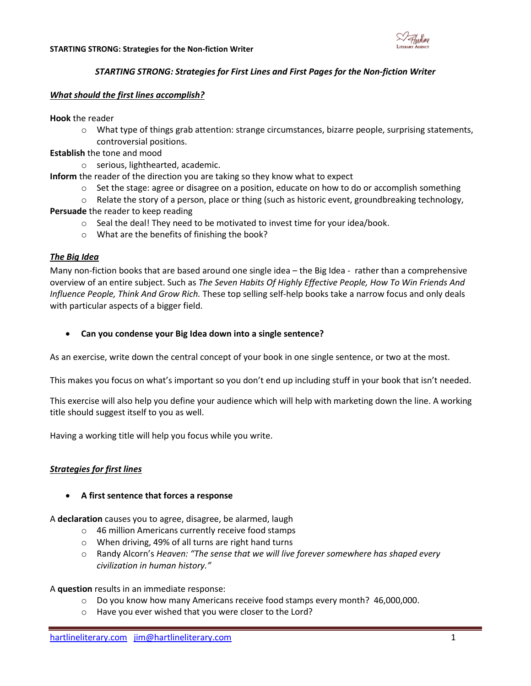

## *STARTING STRONG: Strategies for First Lines and First Pages for the Non-fiction Writer*

### *What should the first lines accomplish?*

**Hook** the reader

- $\circ$  What type of things grab attention: strange circumstances, bizarre people, surprising statements, controversial positions.
- **Establish** the tone and mood
	- o serious, lighthearted, academic.

**Inform** the reader of the direction you are taking so they know what to expect

- $\circ$  Set the stage: agree or disagree on a position, educate on how to do or accomplish something
- $\circ$  Relate the story of a person, place or thing (such as historic event, groundbreaking technology,

## **Persuade** the reader to keep reading

- o Seal the deal! They need to be motivated to invest time for your idea/book.
- o What are the benefits of finishing the book?

## *The Big Idea*

Many non-fiction books that are based around one single idea – the Big Idea - rather than a comprehensive overview of an entire subject. Such as *The Seven Habits Of Highly Effective People, How To Win Friends And Influence People, Think And Grow Rich.* These top selling self-help books take a narrow focus and only deals with particular aspects of a bigger field.

**Can you condense your Big Idea down into a single sentence?**

As an exercise, write down the central concept of your book in one single sentence, or two at the most.

This makes you focus on what's important so you don't end up including stuff in your book that isn't needed.

This exercise will also help you define your audience which will help with marketing down the line. A working title should suggest itself to you as well.

Having a working title will help you focus while you write.

# *Strategies for first lines*

#### **A first sentence that forces a response**

A **declaration** causes you to agree, disagree, be alarmed, laugh

- o 46 million Americans currently receive food stamps
- o When driving, 49% of all turns are right hand turns
- o Randy Alcorn's *Heaven: "The sense that we will live forever somewhere has shaped every civilization in human history."*

#### A **question** results in an immediate response:

- o Do you know how many Americans receive food stamps every month? 46,000,000.
- o Have you ever wished that you were closer to the Lord?